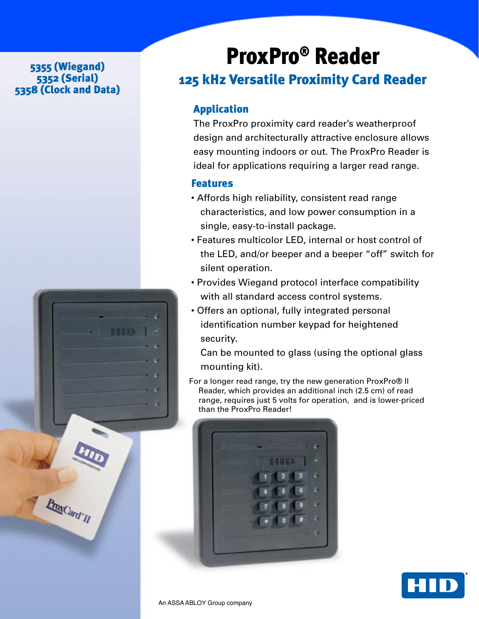#### 5355 (Wiegand) 5352 (Serial) 5358 (Clock and Data)



# ProxPro® Reader

## 125 kHz Versatile Proximity Card Reader

### Application

The ProxPro proximity card reader's weatherproof design and architecturally attractive enclosure allows easy mounting indoors or out. The ProxPro Reader is ideal for applications requiring a larger read range.

#### **Features**

- Affords high reliability, consistent read range characteristics, and low power consumption in a single, easy-to-install package.
- Features multicolor LED, internal or host control of the LED, and/or beeper and a beeper "off" switch for silent operation.
- Provides Wiegand protocol interface compatibility with all standard access control systems.
- Offers an optional, fully integrated personal identification number keypad for heightened security.

Can be mounted to glass (using the optional glass mounting kit).

For a longer read range, try the new generation ProxPro® II Reader, which provides an additional inch (2.5 cm) of read range, requires just 5 volts for operation, and is lower-priced than the ProxPro Reader!